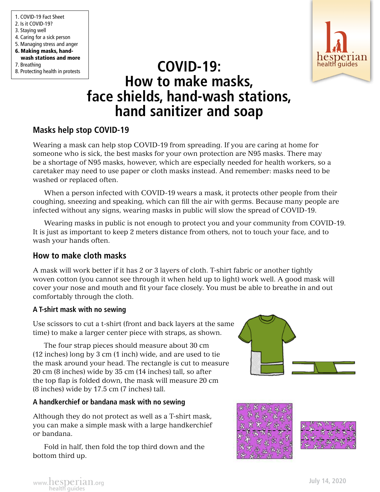1. COVID-19 Fact Sheet 2. Is it COVID-19? 3. Staying well 4. Caring for a sick person 5. Managing stress and anger 6. Making masks, handwash stations and more 7. Breathing 8. Protecting health in protests



# **COVID-19: COVID-19: COVID-19: How to make masks, face shields, hand-wash stations, hand sanitizer and soap**

# **Masks help stop COVID-19**

Wearing a mask can help stop COVID-19 from spreading. If you are caring at home for someone who is sick, the best masks for your own protection are N95 masks. There may be a shortage of N95 masks, however, which are especially needed for health workers, so a caretaker may need to use paper or cloth masks instead. And remember: masks need to be washed or replaced often.

When a person infected with COVID-19 wears a mask, it protects other people from their coughing, sneezing and speaking, which can fill the air with germs. Because many people are infected without any signs, wearing masks in public will slow the spread of COVID-19.

Wearing masks in public is not enough to protect you and your community from COVID-19. It is just as important to keep 2 meters distance from others, not to touch your face, and to wash your hands often.

## **How to make cloth masks**

A mask will work better if it has 2 or 3 layers of cloth. T-shirt fabric or another tightly woven cotton (you cannot see through it when held up to light) work well. A good mask will cover your nose and mouth and fit your face closely. You must be able to breathe in and out comfortably through the cloth.

### **A T-shirt mask with no sewing**

Use scissors to cut a t-shirt (front and back layers at the same time) to make a larger center piece with straps, as shown.

The four strap pieces should measure about 30 cm (12 inches) long by 3 cm (1 inch) wide, and are used to tie the mask around your head. The rectangle is cut to measure 20 cm (8 inches) wide by 35 cm (14 inches) tall, so after the top flap is folded down, the mask will measure 20 cm (8 inches) wide by 17.5 cm (7 inches) tall.

## **A handkerchief or bandana mask with no sewing**

Although they do not protect as well as a T-shirt mask, you can make a simple mask with a large handkerchief or bandana.

Fold in half, then fold the top third down and the bottom third up.





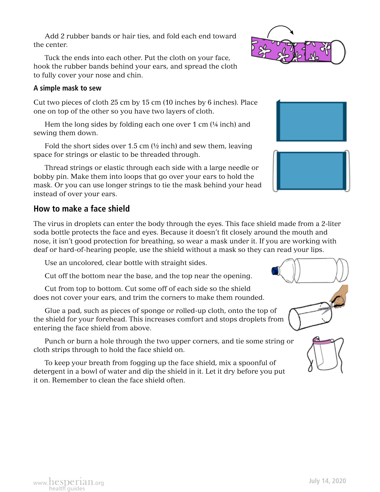www.hesperian.org

Add 2 rubber bands or hair ties, and fold each end toward the center.

Tuck the ends into each other. Put the cloth on your face, hook the rubber bands behind your ears, and spread the cloth to fully cover your nose and chin.

#### **A simple mask to sew**

Cut two pieces of cloth 25 cm by 15 cm (10 inches by 6 inches). Place one on top of the other so you have two layers of cloth.

Hem the long sides by folding each one over 1 cm (¼ inch) and sewing them down.

Fold the short sides over 1.5 cm  $(\frac{1}{2}$  inch) and sew them, leaving space for strings or elastic to be threaded through.

Thread strings or elastic through each side with a large needle or bobby pin. Make them into loops that go over your ears to hold the mask. Or you can use longer strings to tie the mask behind your head instead of over your ears.

# **How to make a face shield**

The virus in droplets can enter the body through the eyes. This face shield made from a 2-liter soda bottle protects the face and eyes. Because it doesn't fit closely around the mouth and nose, it isn't good protection for breathing, so wear a mask under it. If you are working with deaf or hard-of-hearing people, use the shield without a mask so they can read your lips.

Use an uncolored, clear bottle with straight sides.

Cut off the bottom near the base, and the top near the opening.

Cut from top to bottom. Cut some off of each side so the shield does not cover your ears, and trim the corners to make them rounded.

Glue a pad, such as pieces of sponge or rolled-up cloth, onto the top of the shield for your forehead. This increases comfort and stops droplets from entering the face shield from above.

Punch or burn a hole through the two upper corners, and tie some string or cloth strips through to hold the face shield on.

To keep your breath from fogging up the face shield, mix a spoonful of detergent in a bowl of water and dip the shield in it. Let it dry before you put it on. Remember to clean the face shield often.





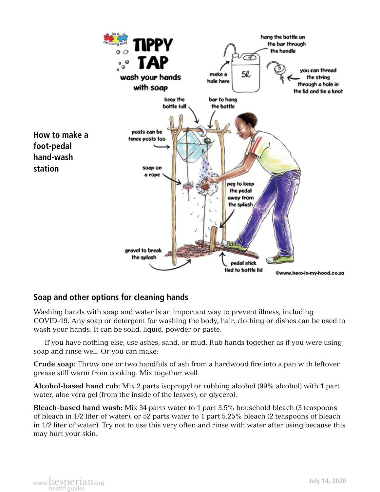

# **Soap and other options for cleaning hands**

Washing hands with soap and water is an important way to prevent illness, including COVID-19. Any soap or detergent for washing the body, hair, clothing or dishes can be used to wash your hands. It can be solid, liquid, powder or paste.

If you have nothing else, use ashes, sand, or mud. Rub hands together as if you were using soap and rinse well. Or you can make:

**Crude soap:** Throw one or two handfuls of ash from a hardwood fire into a pan with leftover grease still warm from cooking. Mix together well.

**Alcohol-based hand rub:** Mix 2 parts isopropyl or rubbing alcohol (99% alcohol) with 1 part water, aloe vera gel (from the inside of the leaves), or glycerol.

**Bleach-based hand wash:** Mix 34 parts water to 1 part 3.5% household bleach (3 teaspoons of bleach in 1/2 liter of water), or 52 parts water to 1 part 5.25% bleach (2 teaspoons of bleach in 1/2 liter of water). Try not to use this very often and rinse with water after using because this may hurt your skin.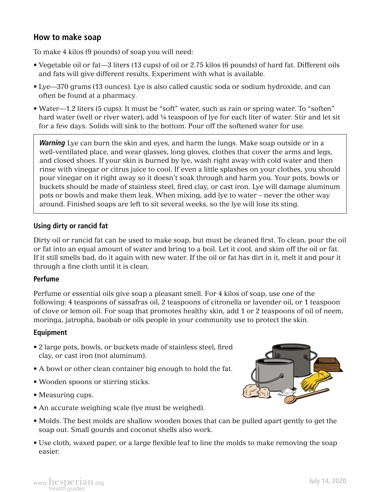## **How to make soap**

To make 4 kilos (9 pounds) of soap you will need:

- Vegetable oil or fat—3 liters (13 cups) of oil or 2.75 kilos (6 pounds) of hard fat. Different oils and fats will give different results. Experiment with what is available.
- Lye—370 grams (13 ounces). Lye is also called caustic soda or sodium hydroxide, and can often be found at a pharmacy.
- Water—1.2 liters (5 cups). It must be "soft" water, such as rain or spring water. To "soften" hard water (well or river water), add ¼ teaspoon of lye for each liter of water. Stir and let sit for a few days. Solids will sink to the bottom. Pour off the softened water for use.

*Warning* Lye can burn the skin and eyes, and harm the lungs. Make soap outside or in a well-ventilated place, and wear glasses, long gloves, clothes that cover the arms and legs, and closed shoes. If your skin is burned by lye, wash right away with cold water and then rinse with vinegar or citrus juice to cool. If even a little splashes on your clothes, you should pour vinegar on it right away so it doesn't soak through and harm you. Your pots, bowls or buckets should be made of stainless steel, fired clay, or cast iron. Lye will damage aluminum pots or bowls and make them leak. When mixing, add lye to water – never the other way around. Finished soaps are left to sit several weeks, so the lye will lose its sting.

#### **Using dirty or rancid fat**

Dirty oil or rancid fat can be used to make soap, but must be cleaned first. To clean, pour the oil or fat into an equal amount of water and bring to a boil. Let it cool, and skim off the oil or fat. If it still smells bad, do it again with new water. If the oil or fat has dirt in it, melt it and pour it through a fine cloth until it is clean.

#### **Perfume**

Perfume or essential oils give soap a pleasant smell. For 4 kilos of soap, use one of the following: 4 teaspoons of sassafras oil, 2 teaspoons of citronella or lavender oil, or 1 teaspoon of clove or lemon oil. For soap that promotes healthy skin, add 1 or 2 teaspoons of oil of neem, moringa, jatropha, baobab or oils people in your community use to protect the skin.

#### **Equipment**

- 2 large pots, bowls, or buckets made of stainless steel, fired clay, or cast iron (not aluminum).
- A bowl or other clean container big enough to hold the fat.
- Wooden spoons or stirring sticks.
- Measuring cups.
- An accurate weighing scale (lye must be weighed).
- Molds. The best molds are shallow wooden boxes that can be pulled apart gently to get the soap out. Small gourds and coconut shells also work.
- Use cloth, waxed paper, or a large flexible leaf to line the molds to make removing the soap easier.